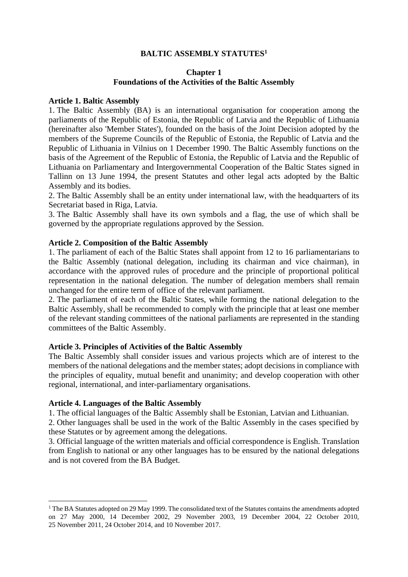## **BALTIC ASSEMBLY STATUTES<sup>1</sup>**

## **Chapter 1 Foundations of the Activities of the Baltic Assembly**

#### **Article 1. Baltic Assembly**

1. The Baltic Assembly (BA) is an international organisation for cooperation among the parliaments of the Republic of Estonia, the Republic of Latvia and the Republic of Lithuania (hereinafter also 'Member States'), founded on the basis of the Joint Decision adopted by the members of the Supreme Councils of the Republic of Estonia, the Republic of Latvia and the Republic of Lithuania in Vilnius on 1 December 1990. The Baltic Assembly functions on the basis of the Agreement of the Republic of Estonia, the Republic of Latvia and the Republic of Lithuania on Parliamentary and Intergovernmental Cooperation of the Baltic States signed in Tallinn on 13 June 1994, the present Statutes and other legal acts adopted by the Baltic Assembly and its bodies.

2. The Baltic Assembly shall be an entity under international law, with the headquarters of its Secretariat based in Riga, Latvia.

3. The Baltic Assembly shall have its own symbols and a flag, the use of which shall be governed by the appropriate regulations approved by the Session.

#### **Article 2. Composition of the Baltic Assembly**

1. The parliament of each of the Baltic States shall appoint from 12 to 16 parliamentarians to the Baltic Assembly (national delegation, including its chairman and vice chairman), in accordance with the approved rules of procedure and the principle of proportional political representation in the national delegation. The number of delegation members shall remain unchanged for the entire term of office of the relevant parliament.

2. The parliament of each of the Baltic States, while forming the national delegation to the Baltic Assembly, shall be recommended to comply with the principle that at least one member of the relevant standing committees of the national parliaments are represented in the standing committees of the Baltic Assembly.

#### **Article 3. Principles of Activities of the Baltic Assembly**

The Baltic Assembly shall consider issues and various projects which are of interest to the members of the national delegations and the member states; adopt decisions in compliance with the principles of equality, mutual benefit and unanimity; and develop cooperation with other regional, international, and inter-parliamentary organisations.

#### **Article 4. Languages of the Baltic Assembly**

1. The official languages of the Baltic Assembly shall be Estonian, Latvian and Lithuanian.

2. Other languages shall be used in the work of the Baltic Assembly in the cases specified by these Statutes or by agreement among the delegations.

3. Official language of the written materials and official correspondence is English. Translation from English to national or any other languages has to be ensured by the national delegations and is not covered from the BA Budget.

<sup>&</sup>lt;sup>1</sup> The BA Statutes adopted on 29 May 1999. The consolidated text of the Statutes contains the amendments adopted on 27 May 2000, 14 December 2002, 29 November 2003, 19 December 2004, 22 October 2010, 25 November 2011, 24 October 2014, and 10 November 2017.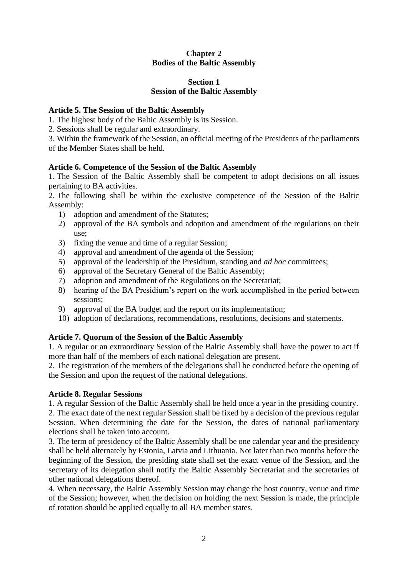# **Chapter 2 Bodies of the Baltic Assembly**

# **Section 1 Session of the Baltic Assembly**

# **Article 5. The Session of the Baltic Assembly**

- 1. The highest body of the Baltic Assembly is its Session.
- 2. Sessions shall be regular and extraordinary.

3. Within the framework of the Session, an official meeting of the Presidents of the parliaments of the Member States shall be held.

# **Article 6. Competence of the Session of the Baltic Assembly**

1. The Session of the Baltic Assembly shall be competent to adopt decisions on all issues pertaining to BA activities.

2. The following shall be within the exclusive competence of the Session of the Baltic Assembly:

- 1) adoption and amendment of the Statutes;
- 2) approval of the BA symbols and adoption and amendment of the regulations on their use;
- 3) fixing the venue and time of a regular Session;
- 4) approval and amendment of the agenda of the Session;
- 5) approval of the leadership of the Presidium, standing and *ad hoc* committees;
- 6) approval of the Secretary General of the Baltic Assembly;
- 7) adoption and amendment of the Regulations on the Secretariat;
- 8) hearing of the BA Presidium's report on the work accomplished in the period between sessions;
- 9) approval of the BA budget and the report on its implementation;
- 10) adoption of declarations, recommendations, resolutions, decisions and statements.

# **Article 7. Quorum of the Session of the Baltic Assembly**

1. A regular or an extraordinary Session of the Baltic Assembly shall have the power to act if more than half of the members of each national delegation are present.

2. The registration of the members of the delegations shall be conducted before the opening of the Session and upon the request of the national delegations.

# **Article 8. Regular Sessions**

1. A regular Session of the Baltic Assembly shall be held once a year in the presiding country. 2. The exact date of the next regular Session shall be fixed by a decision of the previous regular Session. When determining the date for the Session, the dates of national parliamentary elections shall be taken into account.

3. The term of presidency of the Baltic Assembly shall be one calendar year and the presidency shall be held alternately by Estonia, Latvia and Lithuania. Not later than two months before the beginning of the Session, the presiding state shall set the exact venue of the Session, and the secretary of its delegation shall notify the Baltic Assembly Secretariat and the secretaries of other national delegations thereof.

4. When necessary, the Baltic Assembly Session may change the host country, venue and time of the Session; however, when the decision on holding the next Session is made, the principle of rotation should be applied equally to all BA member states.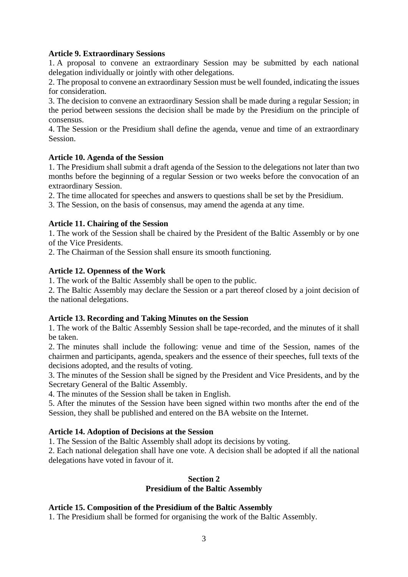#### **Article 9. Extraordinary Sessions**

1. A proposal to convene an extraordinary Session may be submitted by each national delegation individually or jointly with other delegations.

2. The proposal to convene an extraordinary Session must be well founded, indicating the issues for consideration.

3. The decision to convene an extraordinary Session shall be made during a regular Session; in the period between sessions the decision shall be made by the Presidium on the principle of consensus.

4. The Session or the Presidium shall define the agenda, venue and time of an extraordinary Session.

### **Article 10. Agenda of the Session**

1. The Presidium shall submit a draft agenda of the Session to the delegations not later than two months before the beginning of a regular Session or two weeks before the convocation of an extraordinary Session.

2. The time allocated for speeches and answers to questions shall be set by the Presidium.

3. The Session, on the basis of consensus, may amend the agenda at any time.

### **Article 11. Chairing of the Session**

1. The work of the Session shall be chaired by the President of the Baltic Assembly or by one of the Vice Presidents.

2. The Chairman of the Session shall ensure its smooth functioning.

### **Article 12. Openness of the Work**

1. The work of the Baltic Assembly shall be open to the public.

2. The Baltic Assembly may declare the Session or a part thereof closed by a joint decision of the national delegations.

#### **Article 13. Recording and Taking Minutes on the Session**

1. The work of the Baltic Assembly Session shall be tape-recorded, and the minutes of it shall be taken.

2. The minutes shall include the following: venue and time of the Session, names of the chairmen and participants, agenda, speakers and the essence of their speeches, full texts of the decisions adopted, and the results of voting.

3. The minutes of the Session shall be signed by the President and Vice Presidents, and by the Secretary General of the Baltic Assembly.

4. The minutes of the Session shall be taken in English.

5. After the minutes of the Session have been signed within two months after the end of the Session, they shall be published and entered on the BA website on the Internet.

#### **Article 14. Adoption of Decisions at the Session**

1. The Session of the Baltic Assembly shall adopt its decisions by voting.

2. Each national delegation shall have one vote. A decision shall be adopted if all the national delegations have voted in favour of it.

#### **Section 2 Presidium of the Baltic Assembly**

### **Article 15. Composition of the Presidium of the Baltic Assembly**

1. The Presidium shall be formed for organising the work of the Baltic Assembly.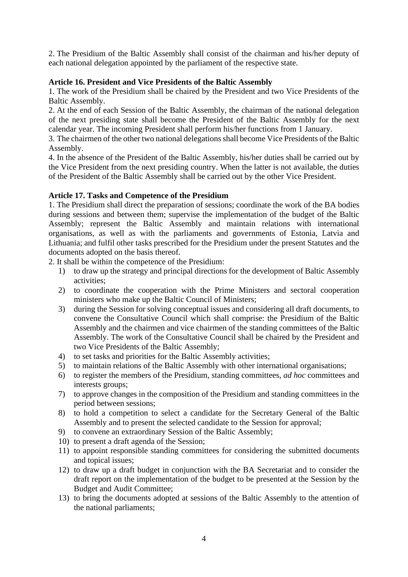2. The Presidium of the Baltic Assembly shall consist of the chairman and his/her deputy of each national delegation appointed by the parliament of the respective state.

# **Article 16. President and Vice Presidents of the Baltic Assembly**

1. The work of the Presidium shall be chaired by the President and two Vice Presidents of the Baltic Assembly.

2. At the end of each Session of the Baltic Assembly, the chairman of the national delegation of the next presiding state shall become the President of the Baltic Assembly for the next calendar year. The incoming President shall perform his/her functions from 1 January.

3. The chairmen of the other two national delegations shall become Vice Presidents of the Baltic Assembly.

4. In the absence of the President of the Baltic Assembly, his/her duties shall be carried out by the Vice President from the next presiding country. When the latter is not available, the duties of the President of the Baltic Assembly shall be carried out by the other Vice President.

# **Article 17. Tasks and Competence of the Presidium**

1. The Presidium shall direct the preparation of sessions; coordinate the work of the BA bodies during sessions and between them; supervise the implementation of the budget of the Baltic Assembly; represent the Baltic Assembly and maintain relations with international organisations, as well as with the parliaments and governments of Estonia, Latvia and Lithuania; and fulfil other tasks prescribed for the Presidium under the present Statutes and the documents adopted on the basis thereof.

2. It shall be within the competence of the Presidium:

- 1) to draw up the strategy and principal directions for the development of Baltic Assembly activities;
- 2) to coordinate the cooperation with the Prime Ministers and sectoral cooperation ministers who make up the Baltic Council of Ministers;
- 3) during the Session for solving conceptual issues and considering all draft documents, to convene the Consultative Council which shall comprise: the Presidium of the Baltic Assembly and the chairmen and vice chairmen of the standing committees of the Baltic Assembly. The work of the Consultative Council shall be chaired by the President and two Vice Presidents of the Baltic Assembly;
- 4) to set tasks and priorities for the Baltic Assembly activities;
- 5) to maintain relations of the Baltic Assembly with other international organisations;
- 6) to register the members of the Presidium, standing committees, *ad hoc* committees and interests groups;
- 7) to approve changes in the composition of the Presidium and standing committees in the period between sessions;
- 8) to hold a competition to select a candidate for the Secretary General of the Baltic Assembly and to present the selected candidate to the Session for approval;
- 9) to convene an extraordinary Session of the Baltic Assembly;
- 10) to present a draft agenda of the Session;
- 11) to appoint responsible standing committees for considering the submitted documents and topical issues;
- 12) to draw up a draft budget in conjunction with the BA Secretariat and to consider the draft report on the implementation of the budget to be presented at the Session by the Budget and Audit Committee;
- 13) to bring the documents adopted at sessions of the Baltic Assembly to the attention of the national parliaments;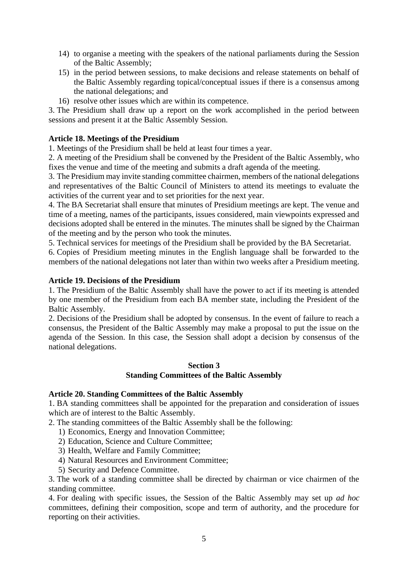- 14) to organise a meeting with the speakers of the national parliaments during the Session of the Baltic Assembly;
- 15) in the period between sessions, to make decisions and release statements on behalf of the Baltic Assembly regarding topical/conceptual issues if there is a consensus among the national delegations; and
- 16) resolve other issues which are within its competence.

3. The Presidium shall draw up a report on the work accomplished in the period between sessions and present it at the Baltic Assembly Session.

# **Article 18. Meetings of the Presidium**

1. Meetings of the Presidium shall be held at least four times a year.

2. A meeting of the Presidium shall be convened by the President of the Baltic Assembly, who fixes the venue and time of the meeting and submits a draft agenda of the meeting.

3. The Presidium may invite standing committee chairmen, members of the national delegations and representatives of the Baltic Council of Ministers to attend its meetings to evaluate the activities of the current year and to set priorities for the next year.

4. The BA Secretariat shall ensure that minutes of Presidium meetings are kept. The venue and time of a meeting, names of the participants, issues considered, main viewpoints expressed and decisions adopted shall be entered in the minutes. The minutes shall be signed by the Chairman of the meeting and by the person who took the minutes.

5. Technical services for meetings of the Presidium shall be provided by the BA Secretariat.

6. Copies of Presidium meeting minutes in the English language shall be forwarded to the members of the national delegations not later than within two weeks after a Presidium meeting.

# **Article 19. Decisions of the Presidium**

1. The Presidium of the Baltic Assembly shall have the power to act if its meeting is attended by one member of the Presidium from each BA member state, including the President of the Baltic Assembly.

2. Decisions of the Presidium shall be adopted by consensus. In the event of failure to reach a consensus, the President of the Baltic Assembly may make a proposal to put the issue on the agenda of the Session. In this case, the Session shall adopt a decision by consensus of the national delegations.

### **Section 3 Standing Committees of the Baltic Assembly**

### **Article 20. Standing Committees of the Baltic Assembly**

1. BA standing committees shall be appointed for the preparation and consideration of issues which are of interest to the Baltic Assembly.

2. The standing committees of the Baltic Assembly shall be the following:

- 1) Economics, Energy and Innovation Committee;
- 2) Education, Science and Culture Committee;
- 3) Health, Welfare and Family Committee;
- 4) Natural Resources and Environment Committee;
- 5) Security and Defence Committee.

3. The work of a standing committee shall be directed by chairman or vice chairmen of the standing committee.

4. For dealing with specific issues, the Session of the Baltic Assembly may set up *ad hoc*  committees, defining their composition, scope and term of authority, and the procedure for reporting on their activities.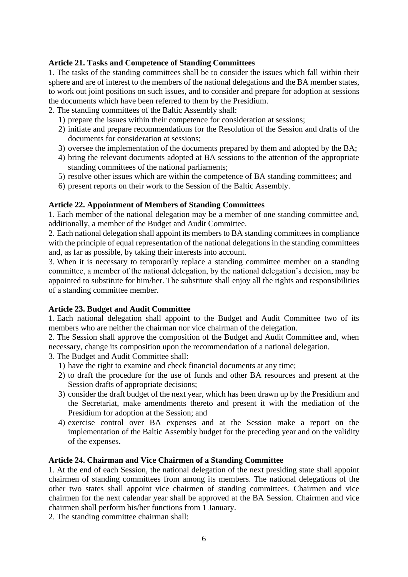# **Article 21. Tasks and Competence of Standing Committees**

1. The tasks of the standing committees shall be to consider the issues which fall within their sphere and are of interest to the members of the national delegations and the BA member states, to work out joint positions on such issues, and to consider and prepare for adoption at sessions the documents which have been referred to them by the Presidium.

2. The standing committees of the Baltic Assembly shall:

- 1) prepare the issues within their competence for consideration at sessions;
- 2) initiate and prepare recommendations for the Resolution of the Session and drafts of the documents for consideration at sessions;
- 3) oversee the implementation of the documents prepared by them and adopted by the BA;
- 4) bring the relevant documents adopted at BA sessions to the attention of the appropriate standing committees of the national parliaments;
- 5) resolve other issues which are within the competence of BA standing committees; and
- 6) present reports on their work to the Session of the Baltic Assembly.

# **Article 22. Appointment of Members of Standing Committees**

1. Each member of the national delegation may be a member of one standing committee and, additionally, a member of the Budget and Audit Committee.

2. Each national delegation shall appoint its members to BA standing committees in compliance with the principle of equal representation of the national delegations in the standing committees and, as far as possible, by taking their interests into account.

3. When it is necessary to temporarily replace a standing committee member on a standing committee, a member of the national delegation, by the national delegation's decision, may be appointed to substitute for him/her. The substitute shall enjoy all the rights and responsibilities of a standing committee member.

### **Article 23. Budget and Audit Committee**

1. Each national delegation shall appoint to the Budget and Audit Committee two of its members who are neither the chairman nor vice chairman of the delegation.

2. The Session shall approve the composition of the Budget and Audit Committee and, when necessary, change its composition upon the recommendation of a national delegation.

- 3. The Budget and Audit Committee shall:
	- 1) have the right to examine and check financial documents at any time;
	- 2) to draft the procedure for the use of funds and other BA resources and present at the Session drafts of appropriate decisions;
	- 3) consider the draft budget of the next year, which has been drawn up by the Presidium and the Secretariat, make amendments thereto and present it with the mediation of the Presidium for adoption at the Session; and
	- 4) exercise control over BA expenses and at the Session make a report on the implementation of the Baltic Assembly budget for the preceding year and on the validity of the expenses.

### **Article 24. Chairman and Vice Chairmen of a Standing Committee**

1. At the end of each Session, the national delegation of the next presiding state shall appoint chairmen of standing committees from among its members. The national delegations of the other two states shall appoint vice chairmen of standing committees. Chairmen and vice chairmen for the next calendar year shall be approved at the BA Session. Chairmen and vice chairmen shall perform his/her functions from 1 January.

2. The standing committee chairman shall: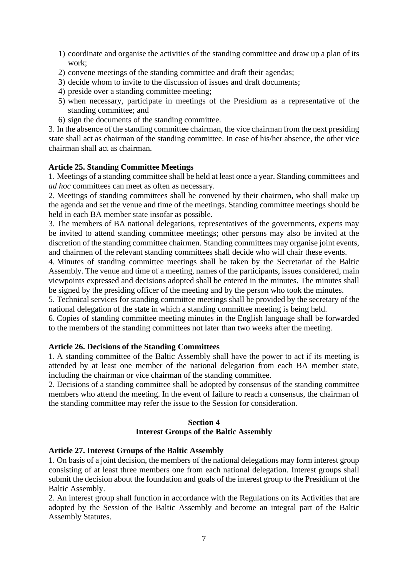- 1) coordinate and organise the activities of the standing committee and draw up a plan of its work;
- 2) convene meetings of the standing committee and draft their agendas;
- 3) decide whom to invite to the discussion of issues and draft documents;
- 4) preside over a standing committee meeting;
- 5) when necessary, participate in meetings of the Presidium as a representative of the standing committee; and
- 6) sign the documents of the standing committee.

3. In the absence of the standing committee chairman, the vice chairman from the next presiding state shall act as chairman of the standing committee. In case of his/her absence, the other vice chairman shall act as chairman.

# **Article 25. Standing Committee Meetings**

1. Meetings of a standing committee shall be held at least once a year. Standing committees and *ad hoc* committees can meet as often as necessary.

2. Meetings of standing committees shall be convened by their chairmen, who shall make up the agenda and set the venue and time of the meetings. Standing committee meetings should be held in each BA member state insofar as possible.

3. The members of BA national delegations, representatives of the governments, experts may be invited to attend standing committee meetings; other persons may also be invited at the discretion of the standing committee chairmen. Standing committees may organise joint events, and chairmen of the relevant standing committees shall decide who will chair these events.

4. Minutes of standing committee meetings shall be taken by the Secretariat of the Baltic Assembly. The venue and time of a meeting, names of the participants, issues considered, main viewpoints expressed and decisions adopted shall be entered in the minutes. The minutes shall be signed by the presiding officer of the meeting and by the person who took the minutes.

5. Technical services for standing committee meetings shall be provided by the secretary of the national delegation of the state in which a standing committee meeting is being held.

6. Copies of standing committee meeting minutes in the English language shall be forwarded to the members of the standing committees not later than two weeks after the meeting.

### **Article 26. Decisions of the Standing Committees**

1. A standing committee of the Baltic Assembly shall have the power to act if its meeting is attended by at least one member of the national delegation from each BA member state, including the chairman or vice chairman of the standing committee.

2. Decisions of a standing committee shall be adopted by consensus of the standing committee members who attend the meeting. In the event of failure to reach a consensus, the chairman of the standing committee may refer the issue to the Session for consideration.

# **Section 4 Interest Groups of the Baltic Assembly**

### **Article 27. Interest Groups of the Baltic Assembly**

1. On basis of a joint decision, the members of the national delegations may form interest group consisting of at least three members one from each national delegation. Interest groups shall submit the decision about the foundation and goals of the interest group to the Presidium of the Baltic Assembly.

2. An interest group shall function in accordance with the Regulations on its Activities that are adopted by the Session of the Baltic Assembly and become an integral part of the Baltic Assembly Statutes.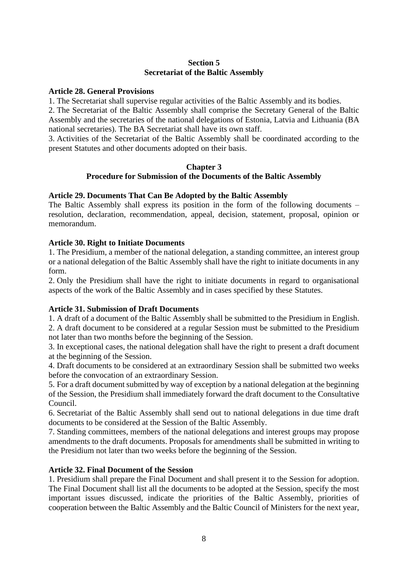### **Section 5 Secretariat of the Baltic Assembly**

#### **Article 28. General Provisions**

1. The Secretariat shall supervise regular activities of the Baltic Assembly and its bodies.

2. The Secretariat of the Baltic Assembly shall comprise the Secretary General of the Baltic Assembly and the secretaries of the national delegations of Estonia, Latvia and Lithuania (BA national secretaries). The BA Secretariat shall have its own staff.

3. Activities of the Secretariat of the Baltic Assembly shall be coordinated according to the present Statutes and other documents adopted on their basis.

### **Chapter 3 Procedure for Submission of the Documents of the Baltic Assembly**

# **Article 29. Documents That Can Be Adopted by the Baltic Assembly**

The Baltic Assembly shall express its position in the form of the following documents – resolution, declaration, recommendation, appeal, decision, statement, proposal, opinion or memorandum.

### **Article 30. Right to Initiate Documents**

1. The Presidium, a member of the national delegation, a standing committee, an interest group or a national delegation of the Baltic Assembly shall have the right to initiate documents in any form.

2. Only the Presidium shall have the right to initiate documents in regard to organisational aspects of the work of the Baltic Assembly and in cases specified by these Statutes.

### **Article 31. Submission of Draft Documents**

1. A draft of a document of the Baltic Assembly shall be submitted to the Presidium in English.

2. A draft document to be considered at a regular Session must be submitted to the Presidium not later than two months before the beginning of the Session.

3. In exceptional cases, the national delegation shall have the right to present a draft document at the beginning of the Session.

4. Draft documents to be considered at an extraordinary Session shall be submitted two weeks before the convocation of an extraordinary Session.

5. For a draft document submitted by way of exception by a national delegation at the beginning of the Session, the Presidium shall immediately forward the draft document to the Consultative Council.

6. Secretariat of the Baltic Assembly shall send out to national delegations in due time draft documents to be considered at the Session of the Baltic Assembly.

7. Standing committees, members of the national delegations and interest groups may propose amendments to the draft documents. Proposals for amendments shall be submitted in writing to the Presidium not later than two weeks before the beginning of the Session.

### **Article 32. Final Document of the Session**

1. Presidium shall prepare the Final Document and shall present it to the Session for adoption. The Final Document shall list all the documents to be adopted at the Session, specify the most important issues discussed, indicate the priorities of the Baltic Assembly, priorities of cooperation between the Baltic Assembly and the Baltic Council of Ministers for the next year,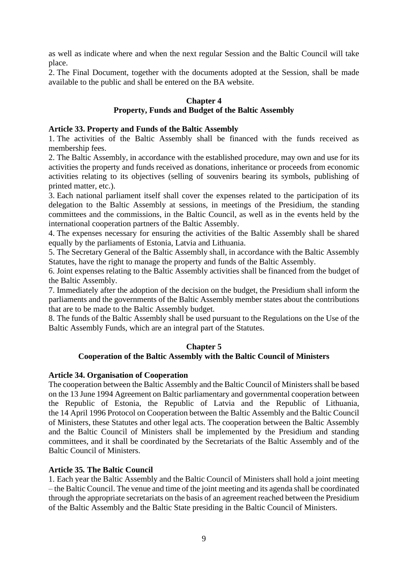as well as indicate where and when the next regular Session and the Baltic Council will take place.

2. The Final Document, together with the documents adopted at the Session, shall be made available to the public and shall be entered on the BA website.

# **Chapter 4**

# **Property, Funds and Budget of the Baltic Assembly**

### **Article 33. Property and Funds of the Baltic Assembly**

1. The activities of the Baltic Assembly shall be financed with the funds received as membership fees.

2. The Baltic Assembly, in accordance with the established procedure, may own and use for its activities the property and funds received as donations, inheritance or proceeds from economic activities relating to its objectives (selling of souvenirs bearing its symbols, publishing of printed matter, etc.).

3. Each national parliament itself shall cover the expenses related to the participation of its delegation to the Baltic Assembly at sessions, in meetings of the Presidium, the standing committees and the commissions, in the Baltic Council, as well as in the events held by the international cooperation partners of the Baltic Assembly.

4. The expenses necessary for ensuring the activities of the Baltic Assembly shall be shared equally by the parliaments of Estonia, Latvia and Lithuania.

5. The Secretary General of the Baltic Assembly shall, in accordance with the Baltic Assembly Statutes, have the right to manage the property and funds of the Baltic Assembly.

6. Joint expenses relating to the Baltic Assembly activities shall be financed from the budget of the Baltic Assembly.

7. Immediately after the adoption of the decision on the budget, the Presidium shall inform the parliaments and the governments of the Baltic Assembly member states about the contributions that are to be made to the Baltic Assembly budget.

8. The funds of the Baltic Assembly shall be used pursuant to the Regulations on the Use of the Baltic Assembly Funds, which are an integral part of the Statutes.

## **Chapter 5**

### **Cooperation of the Baltic Assembly with the Baltic Council of Ministers**

### **Article 34. Organisation of Cooperation**

The cooperation between the Baltic Assembly and the Baltic Council of Ministers shall be based on the 13 June 1994 Agreement on Baltic parliamentary and governmental cooperation between the Republic of Estonia, the Republic of Latvia and the Republic of Lithuania, the 14 April 1996 Protocol on Cooperation between the Baltic Assembly and the Baltic Council of Ministers, these Statutes and other legal acts. The cooperation between the Baltic Assembly and the Baltic Council of Ministers shall be implemented by the Presidium and standing committees, and it shall be coordinated by the Secretariats of the Baltic Assembly and of the Baltic Council of Ministers.

## **Article 35***.* **The Baltic Council**

1. Each year the Baltic Assembly and the Baltic Council of Ministers shall hold a joint meeting – the Baltic Council. The venue and time of the joint meeting and its agenda shall be coordinated through the appropriate secretariats on the basis of an agreement reached between the Presidium of the Baltic Assembly and the Baltic State presiding in the Baltic Council of Ministers.